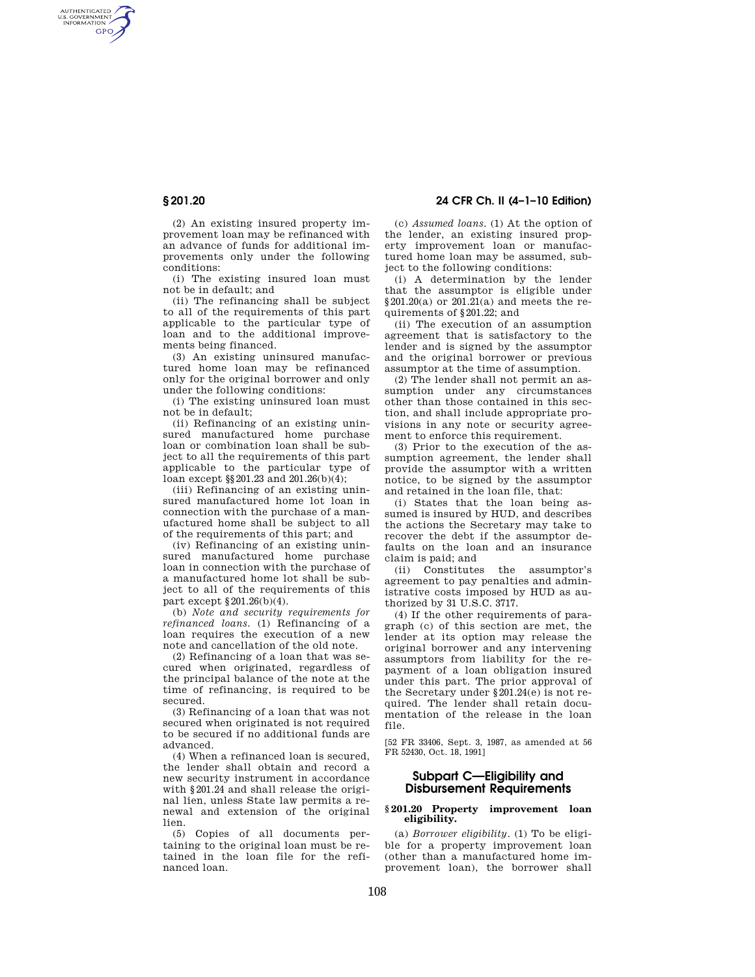AUTHENTICATED<br>U.S. GOVERNMENT<br>INFORMATION GPO

**§ 201.20 24 CFR Ch. II (4–1–10 Edition)** 

(2) An existing insured property improvement loan may be refinanced with an advance of funds for additional improvements only under the following conditions:

(i) The existing insured loan must not be in default; and

(ii) The refinancing shall be subject to all of the requirements of this part applicable to the particular type of loan and to the additional improvements being financed.

(3) An existing uninsured manufactured home loan may be refinanced only for the original borrower and only under the following conditions:

(i) The existing uninsured loan must not be in default;

(ii) Refinancing of an existing uninsured manufactured home purchase loan or combination loan shall be subject to all the requirements of this part applicable to the particular type of loan except §§201.23 and 201.26(b)(4);

(iii) Refinancing of an existing uninsured manufactured home lot loan in connection with the purchase of a manufactured home shall be subject to all of the requirements of this part; and

(iv) Refinancing of an existing uninsured manufactured home purchase loan in connection with the purchase of a manufactured home lot shall be subject to all of the requirements of this part except §201.26(b)(4).

(b) *Note and security requirements for refinanced loans.* (1) Refinancing of a loan requires the execution of a new note and cancellation of the old note.

(2) Refinancing of a loan that was secured when originated, regardless of the principal balance of the note at the time of refinancing, is required to be secured.

(3) Refinancing of a loan that was not secured when originated is not required to be secured if no additional funds are advanced.

(4) When a refinanced loan is secured, the lender shall obtain and record a new security instrument in accordance with §201.24 and shall release the original lien, unless State law permits a renewal and extension of the original lien.

(5) Copies of all documents pertaining to the original loan must be retained in the loan file for the refinanced loan.

(c) *Assumed loans.* (1) At the option of the lender, an existing insured property improvement loan or manufactured home loan may be assumed, subject to the following conditions:

(i) A determination by the lender that the assumptor is eligible under  $$201.20(a)$  or  $201.21(a)$  and meets the requirements of §201.22; and

(ii) The execution of an assumption agreement that is satisfactory to the lender and is signed by the assumptor and the original borrower or previous assumptor at the time of assumption.

(2) The lender shall not permit an assumption under any circumstances other than those contained in this section, and shall include appropriate provisions in any note or security agreement to enforce this requirement.

(3) Prior to the execution of the assumption agreement, the lender shall provide the assumptor with a written notice, to be signed by the assumptor and retained in the loan file, that:

(i) States that the loan being assumed is insured by HUD, and describes the actions the Secretary may take to recover the debt if the assumptor defaults on the loan and an insurance claim is paid; and

(ii) Constitutes the assumptor's agreement to pay penalties and administrative costs imposed by HUD as authorized by 31 U.S.C. 3717.

(4) If the other requirements of paragraph (c) of this section are met, the lender at its option may release the original borrower and any intervening assumptors from liability for the repayment of a loan obligation insured under this part. The prior approval of the Secretary under §201.24(e) is not required. The lender shall retain documentation of the release in the loan file.

[52 FR 33406, Sept. 3, 1987, as amended at 56 FR 52430, Oct. 18, 1991]

# **Subpart C—Eligibility and Disbursement Requirements**

### **§ 201.20 Property improvement loan eligibility.**

(a) *Borrower eligibility.* (1) To be eligible for a property improvement loan (other than a manufactured home improvement loan), the borrower shall